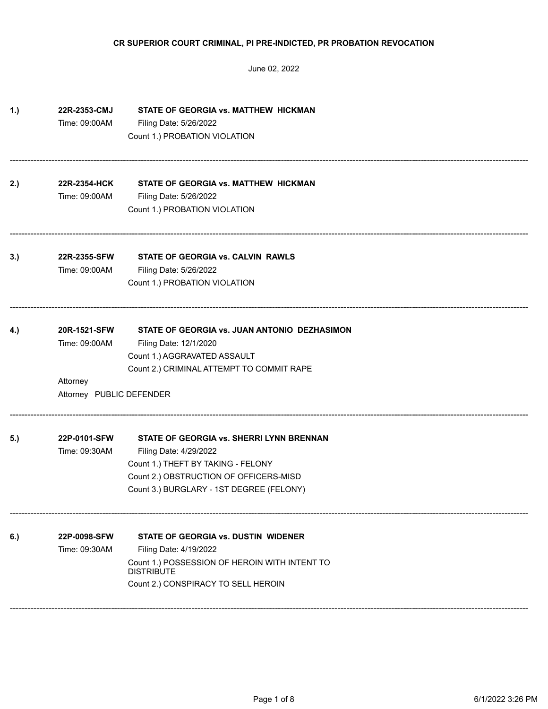| 1.) | 22R-2353-CMJ<br>Time: 09:00AM               | STATE OF GEORGIA vs. MATTHEW HICKMAN<br>Filing Date: 5/26/2022               |
|-----|---------------------------------------------|------------------------------------------------------------------------------|
|     |                                             | Count 1.) PROBATION VIOLATION                                                |
| 2.) | 22R-2354-HCK                                | STATE OF GEORGIA vs. MATTHEW HICKMAN                                         |
|     | Time: 09:00AM                               | Filing Date: 5/26/2022<br>Count 1.) PROBATION VIOLATION                      |
| 3.) | 22R-2355-SFW                                | STATE OF GEORGIA vs. CALVIN RAWLS                                            |
|     | Time: 09:00AM                               | Filing Date: 5/26/2022<br>Count 1.) PROBATION VIOLATION                      |
| 4.) | 20R-1521-SFW                                | STATE OF GEORGIA vs. JUAN ANTONIO DEZHASIMON                                 |
|     | Time: 09:00AM                               | Filing Date: 12/1/2020<br>Count 1.) AGGRAVATED ASSAULT                       |
|     | <b>Attorney</b><br>Attorney PUBLIC DEFENDER | Count 2.) CRIMINAL ATTEMPT TO COMMIT RAPE                                    |
| 5.) | 22P-0101-SFW                                | STATE OF GEORGIA vs. SHERRI LYNN BRENNAN                                     |
|     | Time: 09:30AM                               | Filing Date: 4/29/2022                                                       |
|     |                                             | Count 1.) THEFT BY TAKING - FELONY<br>Count 2.) OBSTRUCTION OF OFFICERS-MISD |
|     |                                             | Count 3.) BURGLARY - 1ST DEGREE (FELONY)                                     |
| 6.) | 22P-0098-SFW                                | STATE OF GEORGIA vs. DUSTIN WIDENER                                          |
|     | Time: 09:30AM                               | Filing Date: 4/19/2022                                                       |
|     |                                             | Count 1.) POSSESSION OF HEROIN WITH INTENT TO<br><b>DISTRIBUTE</b>           |
|     |                                             | Count 2.) CONSPIRACY TO SELL HEROIN                                          |
|     |                                             |                                                                              |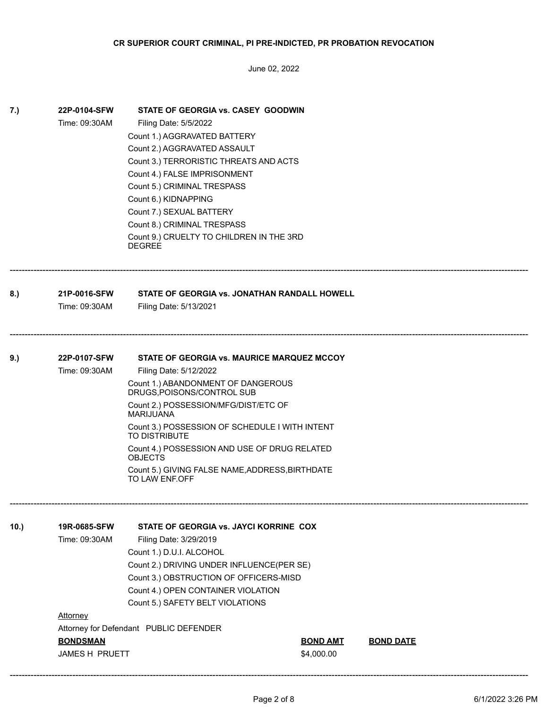| 7.)  | 22P-0104-SFW<br>Time: 09:30AM                                                  | STATE OF GEORGIA vs. CASEY GOODWIN<br>Filing Date: 5/5/2022<br>Count 1.) AGGRAVATED BATTERY<br>Count 2.) AGGRAVATED ASSAULT<br>Count 3.) TERRORISTIC THREATS AND ACTS<br>Count 4.) FALSE IMPRISONMENT<br>Count 5.) CRIMINAL TRESPASS<br>Count 6.) KIDNAPPING<br>Count 7.) SEXUAL BATTERY<br>Count 8.) CRIMINAL TRESPASS<br>Count 9.) CRUELTY TO CHILDREN IN THE 3RD<br><b>DEGREE</b>                                  |                               |                  |  |
|------|--------------------------------------------------------------------------------|-----------------------------------------------------------------------------------------------------------------------------------------------------------------------------------------------------------------------------------------------------------------------------------------------------------------------------------------------------------------------------------------------------------------------|-------------------------------|------------------|--|
| 8.)  | 21P-0016-SFW<br>Time: 09:30AM                                                  | STATE OF GEORGIA vs. JONATHAN RANDALL HOWELL<br>Filing Date: 5/13/2021                                                                                                                                                                                                                                                                                                                                                |                               |                  |  |
| 9.)  | 22P-0107-SFW<br>Time: 09:30AM                                                  | STATE OF GEORGIA vs. MAURICE MARQUEZ MCCOY<br>Filing Date: 5/12/2022<br>Count 1.) ABANDONMENT OF DANGEROUS<br>DRUGS, POISONS/CONTROL SUB<br>Count 2.) POSSESSION/MFG/DIST/ETC OF<br><b>MARIJUANA</b><br>Count 3.) POSSESSION OF SCHEDULE I WITH INTENT<br><b>TO DISTRIBUTE</b><br>Count 4.) POSSESSION AND USE OF DRUG RELATED<br><b>OBJECTS</b><br>Count 5.) GIVING FALSE NAME, ADDRESS, BIRTHDATE<br>TO LAW ENF.OFF |                               |                  |  |
| 10.) | 19R-0685-SFW<br>Time: 09:30AM<br>Attorney<br><b>BONDSMAN</b><br>JAMES H PRUETT | STATE OF GEORGIA vs. JAYCI KORRINE COX<br>Filing Date: 3/29/2019<br>Count 1.) D.U.I. ALCOHOL<br>Count 2.) DRIVING UNDER INFLUENCE(PER SE)<br>Count 3.) OBSTRUCTION OF OFFICERS-MISD<br>Count 4.) OPEN CONTAINER VIOLATION<br>Count 5.) SAFETY BELT VIOLATIONS<br>Attorney for Defendant PUBLIC DEFENDER                                                                                                               | <b>BOND AMT</b><br>\$4,000.00 | <b>BOND DATE</b> |  |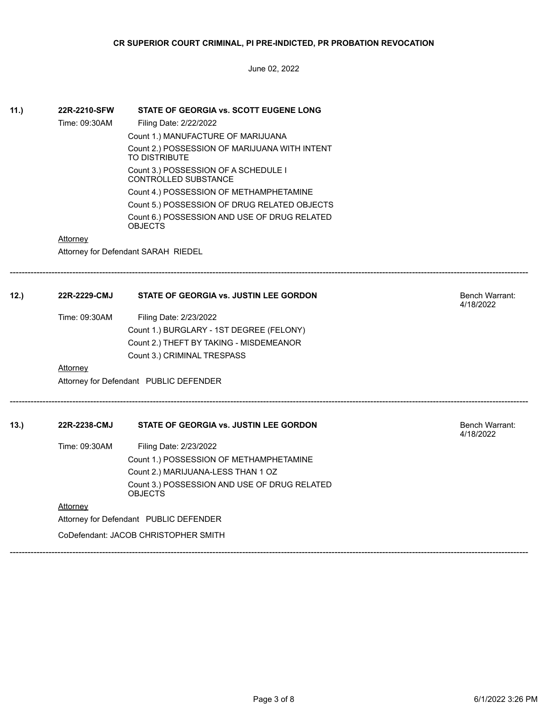June 02, 2022

| 11.) | 22R-2210-SFW                           | STATE OF GEORGIA vs. SCOTT EUGENE LONG                              |                |  |  |  |
|------|----------------------------------------|---------------------------------------------------------------------|----------------|--|--|--|
|      | Time: 09:30AM                          | Filing Date: 2/22/2022                                              |                |  |  |  |
|      |                                        | Count 1.) MANUFACTURE OF MARIJUANA                                  |                |  |  |  |
|      |                                        | Count 2.) POSSESSION OF MARIJUANA WITH INTENT<br>TO DISTRIBUTE      |                |  |  |  |
|      |                                        | Count 3.) POSSESSION OF A SCHEDULE I<br><b>CONTROLLED SUBSTANCE</b> |                |  |  |  |
|      |                                        | Count 4.) POSSESSION OF METHAMPHETAMINE                             |                |  |  |  |
|      |                                        | Count 5.) POSSESSION OF DRUG RELATED OBJECTS                        |                |  |  |  |
|      |                                        | Count 6.) POSSESSION AND USE OF DRUG RELATED<br><b>OBJECTS</b>      |                |  |  |  |
|      | Attorney                               |                                                                     |                |  |  |  |
|      | Attorney for Defendant SARAH RIEDEL    |                                                                     |                |  |  |  |
| 12.  | 22R-2229-CMJ                           | STATE OF GEORGIA vs. JUSTIN LEE GORDON                              | Bench Warrant: |  |  |  |
|      |                                        |                                                                     | 4/18/2022      |  |  |  |
|      | Time: 09:30AM                          | Filing Date: 2/23/2022                                              |                |  |  |  |
|      |                                        | Count 1.) BURGLARY - 1ST DEGREE (FELONY)                            |                |  |  |  |
|      |                                        | Count 2.) THEFT BY TAKING - MISDEMEANOR                             |                |  |  |  |
|      |                                        | Count 3.) CRIMINAL TRESPASS                                         |                |  |  |  |
|      | Attorney                               |                                                                     |                |  |  |  |
|      |                                        | Attorney for Defendant PUBLIC DEFENDER                              |                |  |  |  |
| 13.  | 22R-2238-CMJ                           | <b>STATE OF GEORGIA vs. JUSTIN LEE GORDON</b>                       | Bench Warrant: |  |  |  |
|      |                                        |                                                                     | 4/18/2022      |  |  |  |
|      | Time: 09:30AM                          | Filing Date: 2/23/2022                                              |                |  |  |  |
|      |                                        | Count 1.) POSSESSION OF METHAMPHETAMINE                             |                |  |  |  |
|      |                                        | Count 2.) MARIJUANA-LESS THAN 1 OZ                                  |                |  |  |  |
|      |                                        | Count 3.) POSSESSION AND USE OF DRUG RELATED<br><b>OBJECTS</b>      |                |  |  |  |
|      | <u>Attorney</u>                        |                                                                     |                |  |  |  |
|      | Attorney for Defendant PUBLIC DEFENDER |                                                                     |                |  |  |  |
|      | CoDefendant: JACOB CHRISTOPHER SMITH   |                                                                     |                |  |  |  |

------------------------------------------------------------------------------------------------------------------------------------------------------------------------------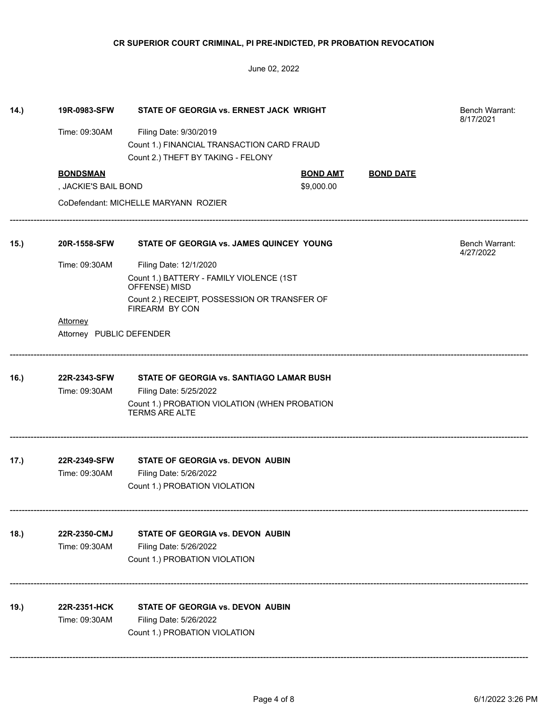| 14.) | 19R-0983-SFW             | STATE OF GEORGIA vs. ERNEST JACK WRIGHT                                |                 |                  | <b>Bench Warrant:</b><br>8/17/2021 |
|------|--------------------------|------------------------------------------------------------------------|-----------------|------------------|------------------------------------|
|      | Time: 09:30AM            | Filing Date: 9/30/2019                                                 |                 |                  |                                    |
|      |                          | Count 1.) FINANCIAL TRANSACTION CARD FRAUD                             |                 |                  |                                    |
|      |                          | Count 2.) THEFT BY TAKING - FELONY                                     |                 |                  |                                    |
|      | <b>BONDSMAN</b>          |                                                                        | <b>BOND AMT</b> | <b>BOND DATE</b> |                                    |
|      | , JACKIE'S BAIL BOND     |                                                                        | \$9,000.00      |                  |                                    |
|      |                          | CoDefendant: MICHELLE MARYANN ROZIER                                   |                 |                  |                                    |
| 15.) | 20R-1558-SFW             | STATE OF GEORGIA vs. JAMES QUINCEY YOUNG                               |                 |                  | Bench Warrant:<br>4/27/2022        |
|      | Time: 09:30AM            | Filing Date: 12/1/2020                                                 |                 |                  |                                    |
|      |                          | Count 1.) BATTERY - FAMILY VIOLENCE (1ST<br>OFFENSE) MISD              |                 |                  |                                    |
|      |                          | Count 2.) RECEIPT, POSSESSION OR TRANSFER OF<br>FIREARM BY CON         |                 |                  |                                    |
|      | Attorney                 |                                                                        |                 |                  |                                    |
|      | Attorney PUBLIC DEFENDER |                                                                        |                 |                  |                                    |
| 16.) | 22R-2343-SFW             | STATE OF GEORGIA vs. SANTIAGO LAMAR BUSH                               |                 |                  |                                    |
|      | Time: 09:30AM            | Filing Date: 5/25/2022                                                 |                 |                  |                                    |
|      |                          | Count 1.) PROBATION VIOLATION (WHEN PROBATION<br><b>TERMS ARE ALTE</b> |                 |                  |                                    |
| 17.) | 22R-2349-SFW             | STATE OF GEORGIA vs. DEVON AUBIN                                       |                 |                  |                                    |
|      | Time: 09:30AM            | Filing Date: 5/26/2022                                                 |                 |                  |                                    |
|      |                          | Count 1.) PROBATION VIOLATION                                          |                 |                  |                                    |
| 18.) | 22R-2350-CMJ             | STATE OF GEORGIA vs. DEVON AUBIN                                       |                 |                  |                                    |
|      | Time: 09:30AM            | Filing Date: 5/26/2022                                                 |                 |                  |                                    |
|      |                          | Count 1.) PROBATION VIOLATION                                          |                 |                  |                                    |
|      |                          |                                                                        |                 |                  |                                    |
| 19.) | 22R-2351-HCK             | <b>STATE OF GEORGIA vs. DEVON AUBIN</b>                                |                 |                  |                                    |
|      | Time: 09:30AM            | Filing Date: 5/26/2022                                                 |                 |                  |                                    |
|      |                          | Count 1.) PROBATION VIOLATION                                          |                 |                  |                                    |
|      |                          |                                                                        |                 |                  |                                    |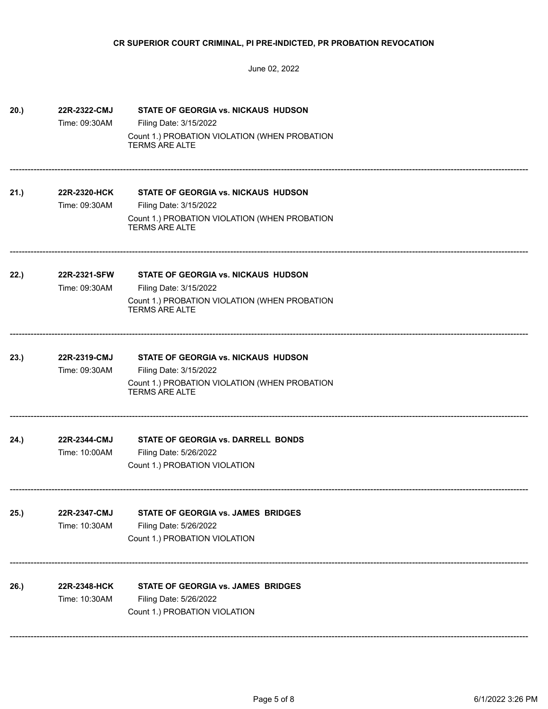June 02, 2022

| 20.) | 22R-2322-CMJ                  | STATE OF GEORGIA vs. NICKAUS HUDSON                                                              |
|------|-------------------------------|--------------------------------------------------------------------------------------------------|
|      | Time: 09:30AM                 | Filing Date: 3/15/2022                                                                           |
|      |                               | Count 1.) PROBATION VIOLATION (WHEN PROBATION<br><b>TERMS ARE ALTE</b>                           |
| 21.) | 22R-2320-HCK                  | STATE OF GEORGIA vs. NICKAUS HUDSON                                                              |
|      | Time: 09:30AM                 | Filing Date: 3/15/2022<br>Count 1.) PROBATION VIOLATION (WHEN PROBATION<br><b>TERMS ARE ALTE</b> |
| 22.) | 22R-2321-SFW                  | <b>STATE OF GEORGIA vs. NICKAUS HUDSON</b>                                                       |
|      | Time: 09:30AM                 | Filing Date: 3/15/2022<br>Count 1.) PROBATION VIOLATION (WHEN PROBATION<br><b>TERMS ARE ALTE</b> |
| 23.) | 22R-2319-CMJ                  | <b>STATE OF GEORGIA vs. NICKAUS HUDSON</b>                                                       |
|      | Time: 09:30AM                 | Filing Date: 3/15/2022<br>Count 1.) PROBATION VIOLATION (WHEN PROBATION<br><b>TERMS ARE ALTE</b> |
| 24.) | 22R-2344-CMJ<br>Time: 10:00AM | STATE OF GEORGIA vs. DARRELL BONDS<br>Filing Date: 5/26/2022<br>Count 1.) PROBATION VIOLATION    |
| 25.) | 22R-2347-CMJ<br>Time: 10:30AM | STATE OF GEORGIA vs. JAMES BRIDGES<br>Filing Date: 5/26/2022<br>Count 1.) PROBATION VIOLATION    |
| 26.) | 22R-2348-HCK<br>Time: 10:30AM | STATE OF GEORGIA vs. JAMES BRIDGES<br>Filing Date: 5/26/2022<br>Count 1.) PROBATION VIOLATION    |

------------------------------------------------------------------------------------------------------------------------------------------------------------------------------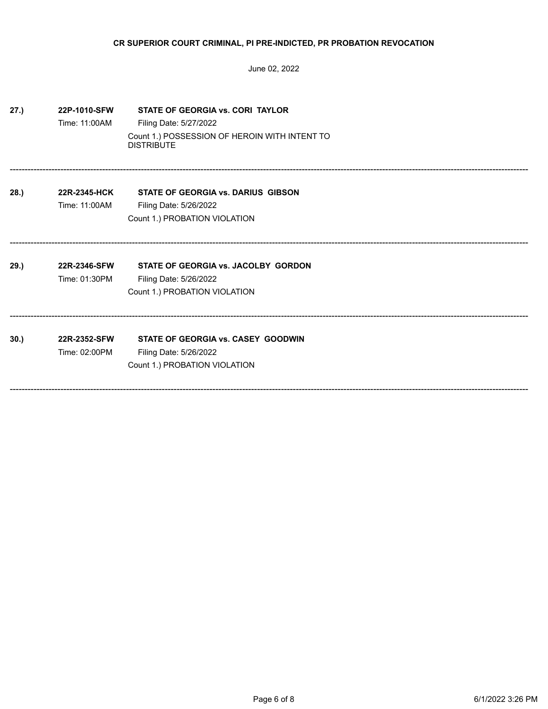| 27.) | 22P-1010-SFW<br>Time: 11:00AM | STATE OF GEORGIA vs. CORI TAYLOR<br>Filing Date: 5/27/2022<br>Count 1.) POSSESSION OF HEROIN WITH INTENT TO<br><b>DISTRIBUTE</b> |
|------|-------------------------------|----------------------------------------------------------------------------------------------------------------------------------|
| 28.) | 22R-2345-HCK<br>Time: 11:00AM | <b>STATE OF GEORGIA vs. DARIUS GIBSON</b><br>Filing Date: 5/26/2022<br>Count 1.) PROBATION VIOLATION                             |
| 29.) | 22R-2346-SFW<br>Time: 01:30PM | STATE OF GEORGIA vs. JACOLBY GORDON<br>Filing Date: 5/26/2022<br>Count 1.) PROBATION VIOLATION                                   |
| 30.  | 22R-2352-SFW<br>Time: 02:00PM | STATE OF GEORGIA vs. CASEY GOODWIN<br>Filing Date: 5/26/2022<br>Count 1.) PROBATION VIOLATION                                    |